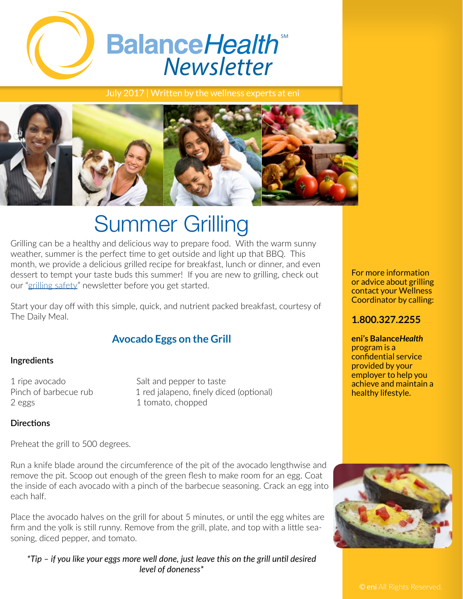

July 2017 | Written by the wellness experts at eni



# Summer Grilling

Grilling can be a healthy and delicious way to prepare food. With the warm sunny weather, summer is the perfect time to get outside and light up that BBQ. This month, we provide a delicious grilled recipe for breakfast, lunch or dinner, and even dessert to tempt your taste buds this summer! If you are new to grilling, check out our ["grilling safety](http://www.eniweb.com/documents/eniBalanceHealthNewsletterJune2013.pdf)" newsletter before you get started.

Start your day off with this simple, quick, and nutrient packed breakfast, courtesy of The Daily Meal.

## **Avocado Eggs on the Grill**

#### **Ingredients**

2 eggs 1 tomato, chopped

1 ripe avocado Salt and pepper to taste Pinch of barbecue rub 1 red jalapeno, finely diced (optional)

#### **Directions**

Preheat the grill to 500 degrees.

Run a knife blade around the circumference of the pit of the avocado lengthwise and remove the pit. Scoop out enough of the green flesh to make room for an egg. Coat the inside of each avocado with a pinch of the barbecue seasoning. Crack an egg into each half.

Place the avocado halves on the grill for about 5 minutes, or until the egg whites are firm and the yolk is still runny. Remove from the grill, plate, and top with a little seasoning, diced pepper, and tomato.

*\*Tip – if you like your eggs more well done, just leave this on the grill until desired level of doneness\**

For more information or advice about grilling contact your Wellness Coordinator by calling:

## **1.800.327.2255**

**eni's Balance***Health*  program is a confidential service provided by your employer to help you achieve and maintain a healthy lifestyle.